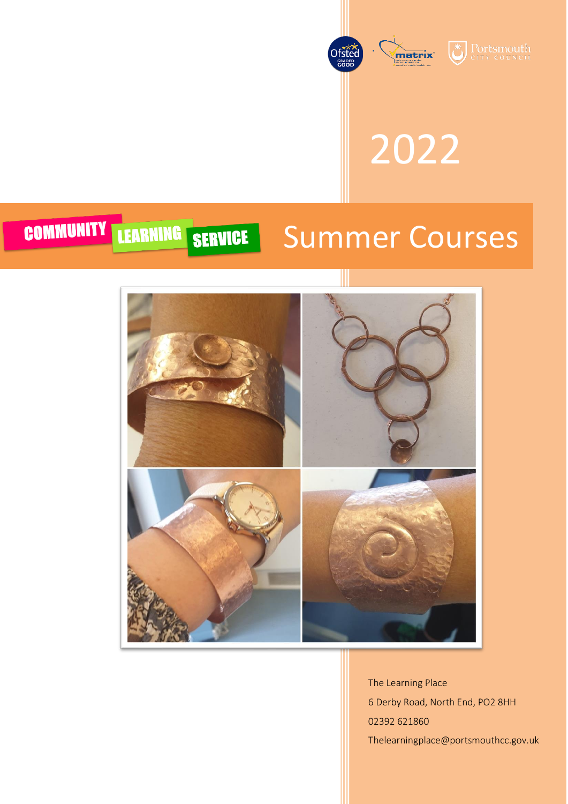

2022

### COMMUNITY LEARNING SERVICE Summer Courses



The Learning Place 6 Derby Road, North End, PO2 8HH 02392 621860 Thelearningplace@portsmouthcc.gov.uk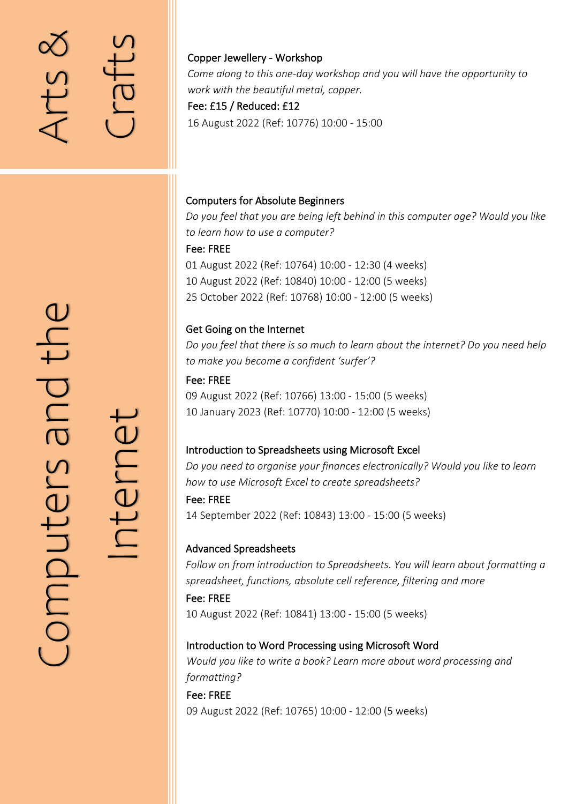## Arts  $\infty$

Crafts

#### Copper Jewellery - Workshop

*Come along to this one-day workshop and you will have the opportunity to work with the beautiful metal, copper.*

#### Fee: £15 / Reduced: £12

16 August 2022 (Ref: 10776) 10:00 - 15:00

#### Computers for Absolute Beginners

*Do you feel that you are being left behind in this computer age? Would you like to learn how to use a computer?* Fee: FREE 01 August 2022 (Ref: 10764) 10:00 - 12:30 (4 weeks) 10 August 2022 (Ref: 10840) 10:00 - 12:00 (5 weeks)

25 October 2022 (Ref: 10768) 10:00 - 12:00 (5 weeks)

#### Get Going on the Internet

*Do you feel that there is so much to learn about the internet? Do you need help to make you become a confident 'surfer'?*

Fee: FREE 09 August 2022 (Ref: 10766) 13:00 - 15:00 (5 weeks) 10 January 2023 (Ref: 10770) 10:00 - 12:00 (5 weeks)

#### Introduction to Spreadsheets using Microsoft Excel

*Do you need to organise your finances electronically? Would you like to learn how to use Microsoft Excel to create spreadsheets?*

Fee: FREE 14 September 2022 (Ref: 10843) 13:00 - 15:00 (5 weeks)

#### Advanced Spreadsheets

*Follow on from introduction to Spreadsheets. You will learn about formatting a spreadsheet, functions, absolute cell reference, filtering and more*

Fee: FREE 10 August 2022 (Ref: 10841) 13:00 - 15:00 (5 weeks)

#### Introduction to Word Processing using Microsoft Word

*Would you like to write a book? Learn more about word processing and formatting?* 

Fee: FREE 09 August 2022 (Ref: 10765) 10:00 - 12:00 (5 weeks)

Internet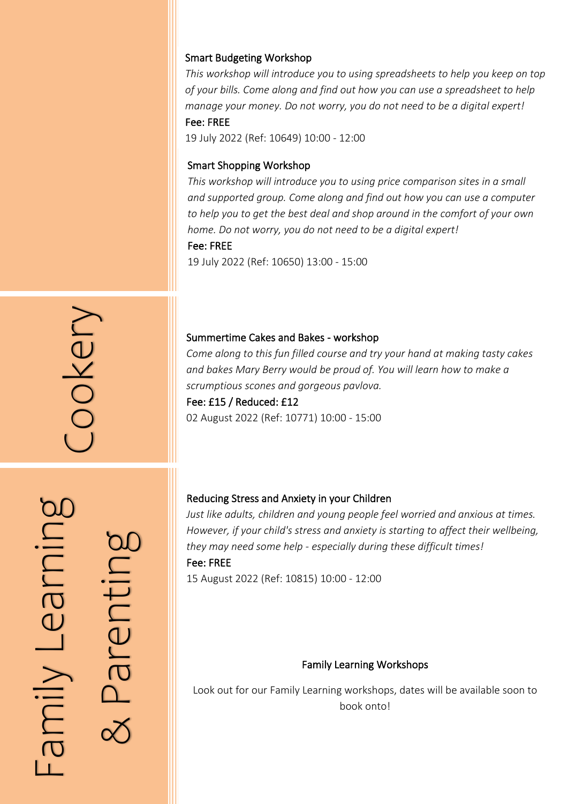#### Smart Budgeting Workshop

*This workshop will introduce you to using spreadsheets to help you keep on top of your bills. Come along and find out how you can use a spreadsheet to help manage your money. Do not worry, you do not need to be a digital expert!* Fee: FREE

19 July 2022 (Ref: 10649) 10:00 - 12:00

#### Smart Shopping Workshop

*This workshop will introduce you to using price comparison sites in a small and supported group. Come along and find out how you can use a computer*  to help you to get the best deal and shop around in the comfort of your own *home. Do not worry, you do not need to be a digital expert!* Fee: FREE

19 July 2022 (Ref: 10650) 13:00 - 15:00

#### Summertime Cakes and Bakes - workshop

*Come along to this fun filled course and try your hand at making tasty cakes and bakes Mary Berry would be proud of. You will learn how to make a scrumptious scones and gorgeous pavlova.* Summertime Cakes and Bakes - workshop<br>Come along to this fun filled course and try<br>and bakes Mary Berry would be proud of. Y<br>scrumptious scones and gorgeous pavlova.<br>Fee: £15 / Reduced: £12<br>02 August 2022 (Ref: 10771) 10:0

#### Fee: £15 / Reduced: £12

í  $\overline{1}$ Family Learning<br>& Parenting

ŗ

#### Reducing Stress and Anxiety in your Children

*Just like adults, children and young people feel worried and anxious at times. However, if your child's stress and anxiety is starting to affect their wellbeing, they may need some help - especially during these difficult times!* Fee: FREE

15 August 2022 (Ref: 10815) 10:00 - 12:00

#### Family Learning Workshops

Look out for our Family Learning workshops, dates will be available soon to book onto!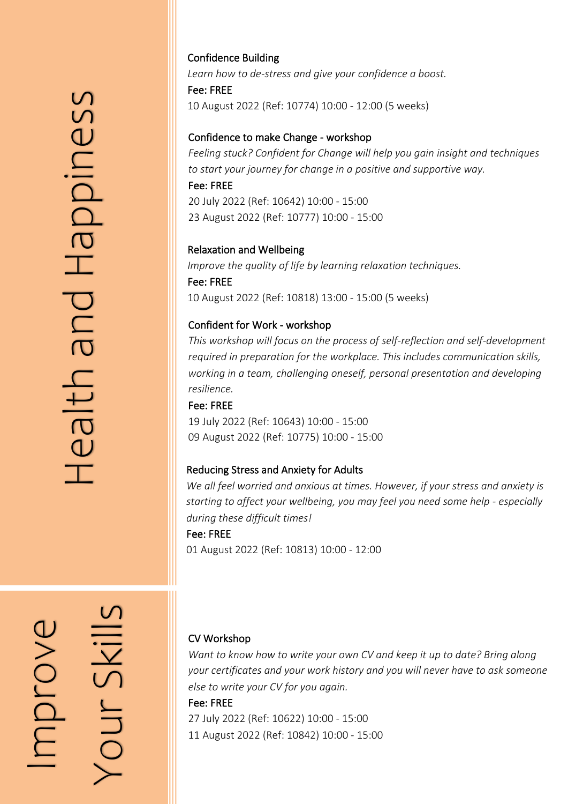Confidence Building *Learn how to de-stress and give your confidence a boost.* Fee: FREE 10 August 2022 (Ref: 10774) 10:00 - 12:00 (5 weeks)

#### Confidence to make Change - workshop

*Feeling stuck? Confident for Change will help you gain insight and techniques to start your journey for change in a positive and supportive way.* Fee: FREE 20 July 2022 (Ref: 10642) 10:00 - 15:00

23 August 2022 (Ref: 10777) 10:00 - 15:00

#### Relaxation and Wellbeing

*Improve the quality of life by learning relaxation techniques.* Fee: FREE 10 August 2022 (Ref: 10818) 13:00 - 15:00 (5 weeks)

#### Confident for Work - workshop

*This workshop will focus on the process of self-reflection and self-development required in preparation for the workplace. This includes communication skills, working in a team, challenging oneself, personal presentation and developing resilience.*

Fee: FREE 19 July 2022 (Ref: 10643) 10:00 - 15:00 09 August 2022 (Ref: 10775) 10:00 - 15:00

#### $\overline{a}$ Reducing Stress and Anxiety for Adults

*We all feel worried and anxious at times. However, if your stress and anxiety is starting to affect your wellbeing, you may feel you need some help - especially during these difficult times!* Fee: FREE

01 August 2022 (Ref: 10813) 10:00 - 12:00

#### CV Workshop

*Want to know how to write your own CV and keep it up to date? Bring along your certificates and your work history and you will never have to ask someone else to write your CV for you again.*

#### Fee: FREE

27 July 2022 (Ref: 10622) 10:00 - 15:00 11 August 2022 (Ref: 10842) 10:00 - 15:00

ׇ֚֚֬  $\overline{ }$  $\overline{\phantom{a}}$  $\overline{\phantom{0}}$ j Improve Your Skills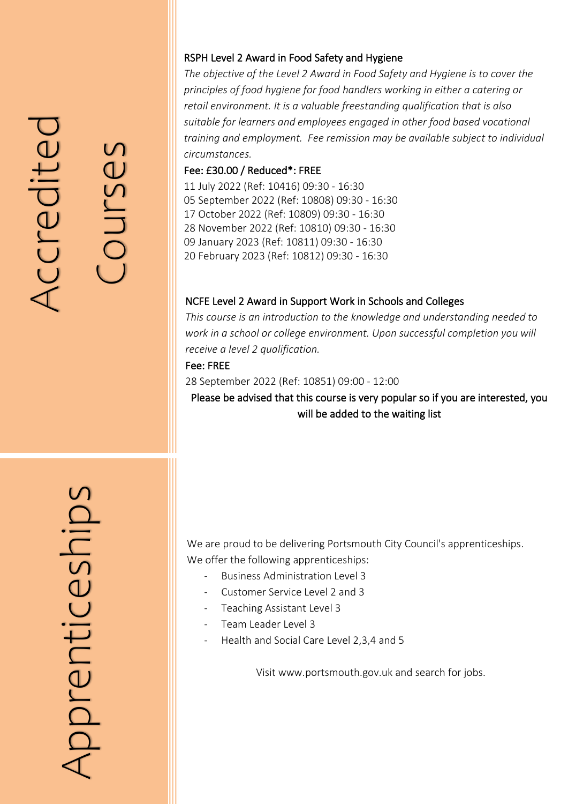# Accreditec Accredited

Courses

#### RSPH Level 2 Award in Food Safety and Hygiene

*The objective of the Level 2 Award in Food Safety and Hygiene is to cover the principles of food hygiene for food handlers working in either a catering or retail environment. It is a valuable freestanding qualification that is also suitable for learners and employees engaged in other food based vocational training and employment. Fee remission may be available subject to individual circumstances.*

#### Fee: £30.00 / Reduced\*: FREE

11 July 2022 (Ref: 10416) 09:30 - 16:30 05 September 2022 (Ref: 10808) 09:30 - 16:30 17 October 2022 (Ref: 10809) 09:30 - 16:30 28 November 2022 (Ref: 10810) 09:30 - 16:30 09 January 2023 (Ref: 10811) 09:30 - 16:30 20 February 2023 (Ref: 10812) 09:30 - 16:30

#### NCFE Level 2 Award in Support Work in Schools and Colleges

*This course is an introduction to the knowledge and understanding needed to work in a school or college environment. Upon successful completion you will receive a level 2 qualification.*

Fee: FREE

28 September 2022 (Ref: 10851) 09:00 - 12:00

Please be advised that this course is very popular so if you are interested, you will be added to the waiting list

pprenticeships Apprenticeships

We are proud to be delivering Portsmouth City Council's apprenticeships. We offer the following apprenticeships:

- Business Administration Level 3
- Customer Service Level 2 and 3
- Teaching Assistant Level 3
- Team Leader Level 3
- Health and Social Care Level 2,3,4 and 5

Visit www.portsmouth.gov.uk and search for jobs.